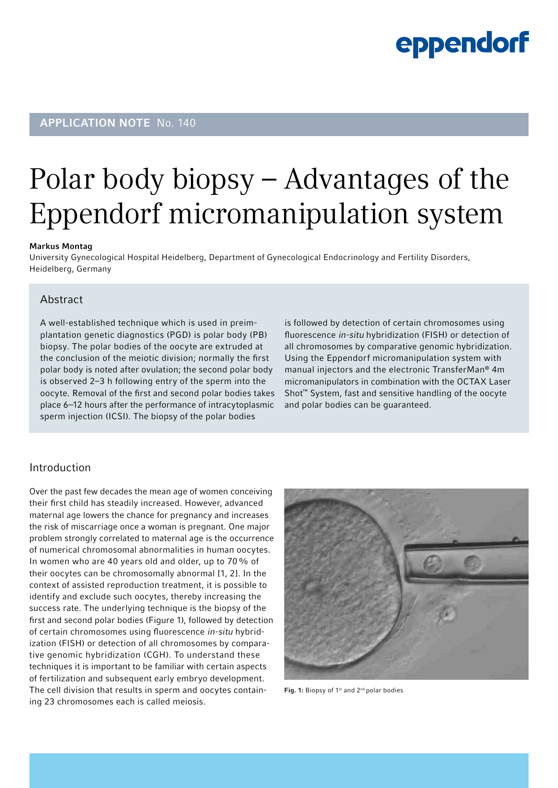### APPLICATION NOTE No. 140

# Polar body biopsy – Advantages of the Eppendorf micromanipulation system

#### Markus Montag

University Gynecological Hospital Heidelberg, Department of Gynecological Endocrinology and Fertility Disorders, Heidelberg, Germany

### Abstract

A well-established technique which is used in preimplantation genetic diagnostics (PGD) is polar body (PB) biopsy. The polar bodies of the oocyte are extruded at the conclusion of the meiotic division; normally the first polar body is noted after ovulation; the second polar body is observed 2–3 h following entry of the sperm into the oocyte. Removal of the first and second polar bodies takes place 6–12 hours after the performance of intracytoplasmic sperm injection (ICSI). The biopsy of the polar bodies

is followed by detection of certain chromosomes using fluorescence in-situ hybridization (FISH) or detection of all chromosomes by comparative genomic hybridization. Using the Eppendorf micromanipulation system with manual injectors and the electronic TransferMan® 4m micromanipulators in combination with the OCTAX Laser Shot™ System, fast and sensitive handling of the oocyte and polar bodies can be guaranteed.

### Introduction

Over the past few decades the mean age of women conceiving their first child has steadily increased. However, advanced maternal age lowers the chance for pregnancy and increases the risk of miscarriage once a woman is pregnant. One major problem strongly correlated to maternal age is the occurrence of numerical chromosomal abnormalities in human oocytes. In women who are 40 years old and older, up to 70 % of their oocytes can be chromosomally abnormal [1, 2]. In the context of assisted reproduction treatment, it is possible to identify and exclude such oocytes, thereby increasing the success rate. The underlying technique is the biopsy of the first and second polar bodies (Figure 1), followed by detection of certain chromosomes using fluorescence in-situ hybridization (FISH) or detection of all chromosomes by comparative genomic hybridization (CGH). To understand these techniques it is important to be familiar with certain aspects of fertilization and subsequent early embryo development. The cell division that results in sperm and oocytes containing 23 chromosomes each is called meiosis.



Fig. 1: Biopsy of 1<sup>st</sup> and 2<sup>nd</sup> polar bodies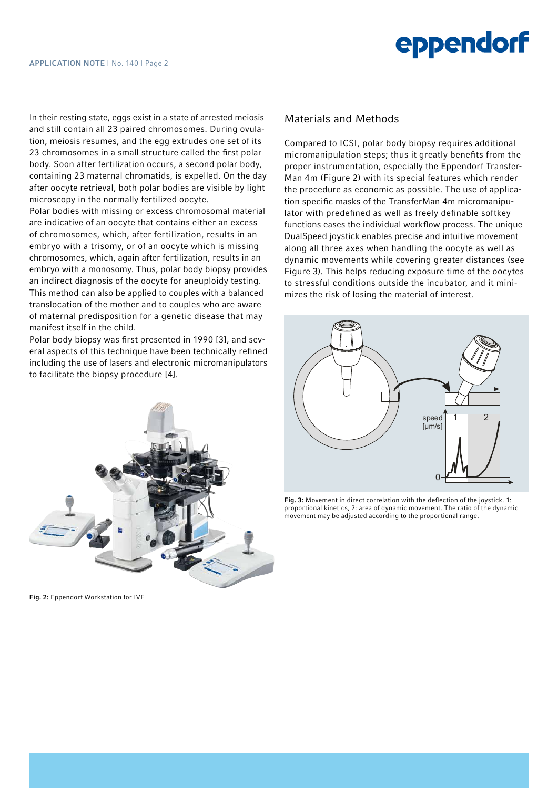In their resting state, eggs exist in a state of arrested meiosis and still contain all 23 paired chromosomes. During ovulation, meiosis resumes, and the egg extrudes one set of its 23 chromosomes in a small structure called the first polar body. Soon after fertilization occurs, a second polar body, containing 23 maternal chromatids, is expelled. On the day after oocyte retrieval, both polar bodies are visible by light microscopy in the normally fertilized oocyte.

Polar bodies with missing or excess chromosomal material are indicative of an oocyte that contains either an excess of chromosomes, which, after fertilization, results in an embryo with a trisomy, or of an oocyte which is missing chromosomes, which, again after fertilization, results in an embryo with a monosomy. Thus, polar body biopsy provides an indirect diagnosis of the oocyte for aneuploidy testing. This method can also be applied to couples with a balanced translocation of the mother and to couples who are aware of maternal predisposition for a genetic disease that may manifest itself in the child.

Polar body biopsy was first presented in 1990 [3], and several aspects of this technique have been technically refined including the use of lasers and electronic micromanipulators to facilitate the biopsy procedure [4].



Fig. 2: Eppendorf Workstation for IVF

### Materials and Methods

Compared to ICSI, polar body biopsy requires additional micromanipulation steps; thus it greatly benefits from the proper instrumentation, especially the Eppendorf Transfer-Man 4m (Figure 2) with its special features which render the procedure as economic as possible. The use of application specific masks of the TransferMan 4m micromanipulator with predefined as well as freely definable softkey functions eases the individual workflow process. The unique DualSpeed joystick enables precise and intuitive movement along all three axes when handling the oocyte as well as dynamic movements while covering greater distances (see Figure 3). This helps reducing exposure time of the oocytes to stressful conditions outside the incubator, and it minimizes the risk of losing the material of interest.



Fig. 3: Movement in direct correlation with the deflection of the joystick. 1: proportional kinetics, 2: area of dynamic movement. The ratio of the dynamic movement may be adjusted according to the proportional range.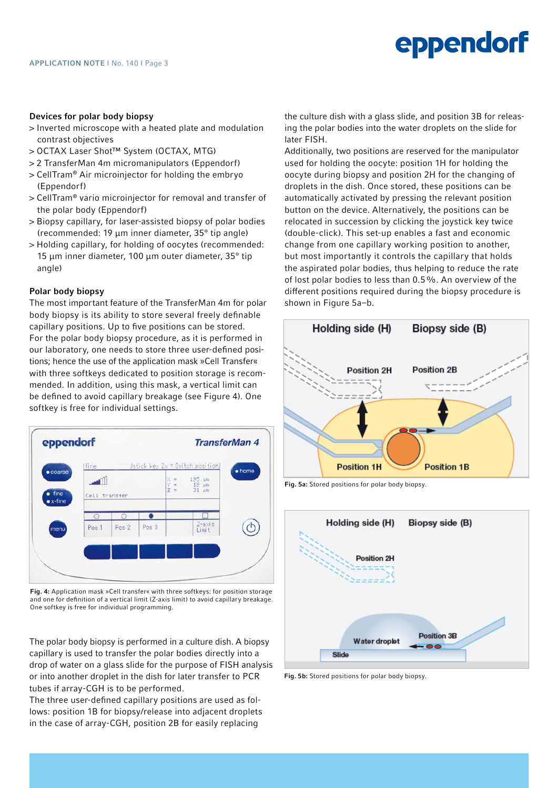### Devices for polar body biopsy

- > Inverted microscope with a heated plate and modulation contrast objectives
- > OCTAX Laser Shot™ System (OCTAX, MTG)
- > 2 TransferMan 4m micromanipulators (Eppendorf)
- > CellTram® Air microinjector for holding the embryo (Eppendorf)
- > CellTram® vario microinjector for removal and transfer of the polar body (Eppendorf)
- > Biopsy capillary, for laser-assisted biopsy of polar bodies (recommended: 19 µm inner diameter, 35° tip angle)
- > Holding capillary, for holding of oocytes (recommended: 15 µm inner diameter, 100 µm outer diameter, 35° tip angle)

### Polar body biopsy

The most important feature of the TransferMan 4m for polar body biopsy is its ability to store several freely definable capillary positions. Up to five positions can be stored. For the polar body biopsy procedure, as it is performed in our laboratory, one needs to store three user-defined positions; hence the use of the application mask »Cell Transfer« with three softkeys dedicated to position storage is recommended. In addition, using this mask, a vertical limit can be defined to avoid capillary breakage (see Figure 4). One softkey is free for individual settings.



Fig. 4: Application mask »Cell transfer« with three softkeys: for position storage and one for definition of a vertical limit (Z-axis limit) to avoid capillary breakage. One softkey is free for individual programming.

The polar body biopsy is performed in a culture dish. A biopsy capillary is used to transfer the polar bodies directly into a drop of water on a glass slide for the purpose of FISH analysis or into another droplet in the dish for later transfer to PCR tubes if array-CGH is to be performed.

The three user-defined capillary positions are used as follows: position 1B for biopsy/release into adjacent droplets in the case of array-CGH, position 2B for easily replacing

the culture dish with a glass slide, and position 3B for releasing the polar bodies into the water droplets on the slide for later FISH.

Additionally, two positions are reserved for the manipulator used for holding the oocyte: position 1H for holding the oocyte during biopsy and position 2H for the changing of droplets in the dish. Once stored, these positions can be automatically activated by pressing the relevant position button on the device. Alternatively, the positions can be relocated in succession by clicking the joystick key twice (double-click). This set-up enables a fast and economic change from one capillary working position to another, but most importantly it controls the capillary that holds the aspirated polar bodies, thus helping to reduce the rate of lost polar bodies to less than 0.5 %. An overview of the different positions required during the biopsy procedure is shown in Figure 5a–b.



Fig. 5a: Stored positions for polar body biopsy.



Fig. 5b: Stored positions for polar body biopsy.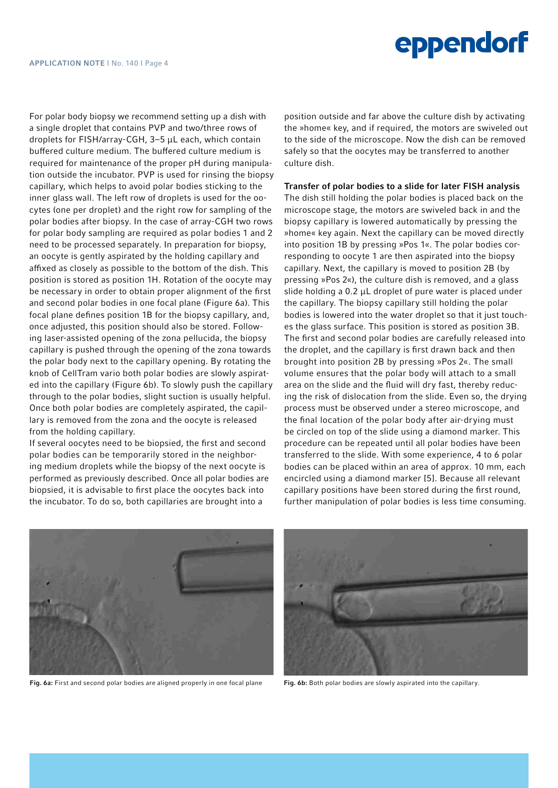For polar body biopsy we recommend setting up a dish with a single droplet that contains PVP and two/three rows of droplets for FISH/array-CGH, 3–5 µL each, which contain buffered culture medium. The buffered culture medium is required for maintenance of the proper pH during manipulation outside the incubator. PVP is used for rinsing the biopsy capillary, which helps to avoid polar bodies sticking to the inner glass wall. The left row of droplets is used for the oocytes (one per droplet) and the right row for sampling of the polar bodies after biopsy. In the case of array-CGH two rows for polar body sampling are required as polar bodies 1 and 2 need to be processed separately. In preparation for biopsy, an oocyte is gently aspirated by the holding capillary and affixed as closely as possible to the bottom of the dish. This position is stored as position 1H. Rotation of the oocyte may be necessary in order to obtain proper alignment of the first and second polar bodies in one focal plane (Figure 6a). This focal plane defines position 1B for the biopsy capillary, and, once adjusted, this position should also be stored. Following laser-assisted opening of the zona pellucida, the biopsy capillary is pushed through the opening of the zona towards the polar body next to the capillary opening. By rotating the knob of CellTram vario both polar bodies are slowly aspirated into the capillary (Figure 6b). To slowly push the capillary through to the polar bodies, slight suction is usually helpful. Once both polar bodies are completely aspirated, the capillary is removed from the zona and the oocyte is released from the holding capillary.

If several oocytes need to be biopsied, the first and second polar bodies can be temporarily stored in the neighboring medium droplets while the biopsy of the next oocyte is performed as previously described. Once all polar bodies are biopsied, it is advisable to first place the oocytes back into the incubator. To do so, both capillaries are brought into a

position outside and far above the culture dish by activating the »home« key, and if required, the motors are swiveled out to the side of the microscope. Now the dish can be removed safely so that the oocytes may be transferred to another culture dish.

### Transfer of polar bodies to a slide for later FISH analysis

The dish still holding the polar bodies is placed back on the microscope stage, the motors are swiveled back in and the biopsy capillary is lowered automatically by pressing the »home« key again. Next the capillary can be moved directly into position 1B by pressing »Pos 1«. The polar bodies corresponding to oocyte 1 are then aspirated into the biopsy capillary. Next, the capillary is moved to position 2B (by pressing »Pos 2«), the culture dish is removed, and a glass slide holding a 0.2 µL droplet of pure water is placed under the capillary. The biopsy capillary still holding the polar bodies is lowered into the water droplet so that it just touches the glass surface. This position is stored as position 3B. The first and second polar bodies are carefully released into the droplet, and the capillary is first drawn back and then brought into position 2B by pressing »Pos 2«. The small volume ensures that the polar body will attach to a small area on the slide and the fluid will dry fast, thereby reducing the risk of dislocation from the slide. Even so, the drying process must be observed under a stereo microscope, and the final location of the polar body after air-drying must be circled on top of the slide using a diamond marker. This procedure can be repeated until all polar bodies have been transferred to the slide. With some experience, 4 to 6 polar bodies can be placed within an area of approx. 10 mm, each encircled using a diamond marker [5]. Because all relevant capillary positions have been stored during the first round, further manipulation of polar bodies is less time consuming.



Fig. 6a: First and second polar bodies are aligned properly in one focal plane Fig. 6b: Both polar bodies are slowly aspirated into the capillary.

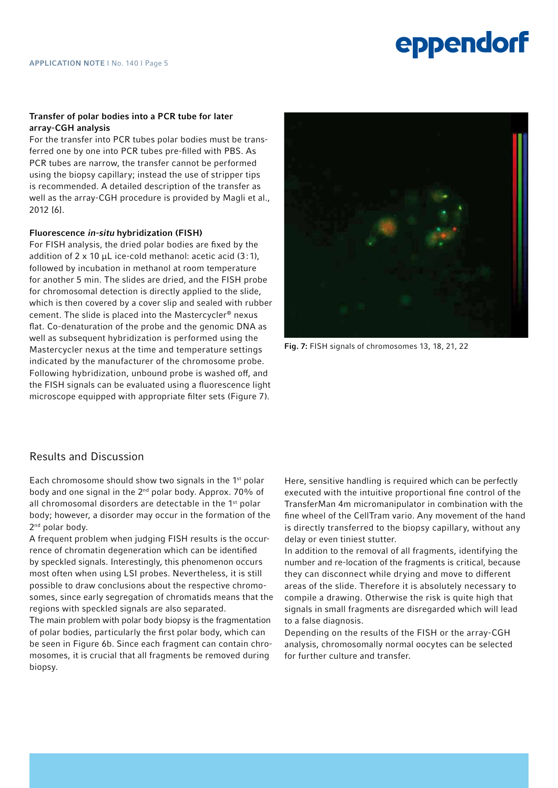### Transfer of polar bodies into a PCR tube for later array-CGH analysis

For the transfer into PCR tubes polar bodies must be transferred one by one into PCR tubes pre-filled with PBS. As PCR tubes are narrow, the transfer cannot be performed using the biopsy capillary; instead the use of stripper tips is recommended. A detailed description of the transfer as well as the array-CGH procedure is provided by Magli et al., 2012 [6].

#### Fluorescence in-situ hybridization (FISH)

For FISH analysis, the dried polar bodies are fixed by the addition of  $2 \times 10$  µL ice-cold methanol: acetic acid  $(3:1)$ , followed by incubation in methanol at room temperature for another 5 min. The slides are dried, and the FISH probe for chromosomal detection is directly applied to the slide, which is then covered by a cover slip and sealed with rubber cement. The slide is placed into the Mastercycler® nexus flat. Co-denaturation of the probe and the genomic DNA as well as subsequent hybridization is performed using the Mastercycler nexus at the time and temperature settings indicated by the manufacturer of the chromosome probe. Following hybridization, unbound probe is washed off, and the FISH signals can be evaluated using a fluorescence light microscope equipped with appropriate filter sets (Figure 7).



Fig. 7: FISH signals of chromosomes 13, 18, 21, 22

### Results and Discussion

Each chromosome should show two signals in the 1<sup>st</sup> polar body and one signal in the 2nd polar body. Approx. 70% of all chromosomal disorders are detectable in the 1<sup>st</sup> polar body; however, a disorder may occur in the formation of the 2<sup>nd</sup> polar body.

A frequent problem when judging FISH results is the occurrence of chromatin degeneration which can be identified by speckled signals. Interestingly, this phenomenon occurs most often when using LSI probes. Nevertheless, it is still possible to draw conclusions about the respective chromosomes, since early segregation of chromatids means that the regions with speckled signals are also separated.

The main problem with polar body biopsy is the fragmentation of polar bodies, particularly the first polar body, which can be seen in Figure 6b. Since each fragment can contain chromosomes, it is crucial that all fragments be removed during biopsy.

Here, sensitive handling is required which can be perfectly executed with the intuitive proportional fine control of the TransferMan 4m micromanipulator in combination with the fine wheel of the CellTram vario. Any movement of the hand is directly transferred to the biopsy capillary, without any delay or even tiniest stutter.

In addition to the removal of all fragments, identifying the number and re-location of the fragments is critical, because they can disconnect while drying and move to different areas of the slide. Therefore it is absolutely necessary to compile a drawing. Otherwise the risk is quite high that signals in small fragments are disregarded which will lead to a false diagnosis.

Depending on the results of the FISH or the array-CGH analysis, chromosomally normal oocytes can be selected for further culture and transfer.